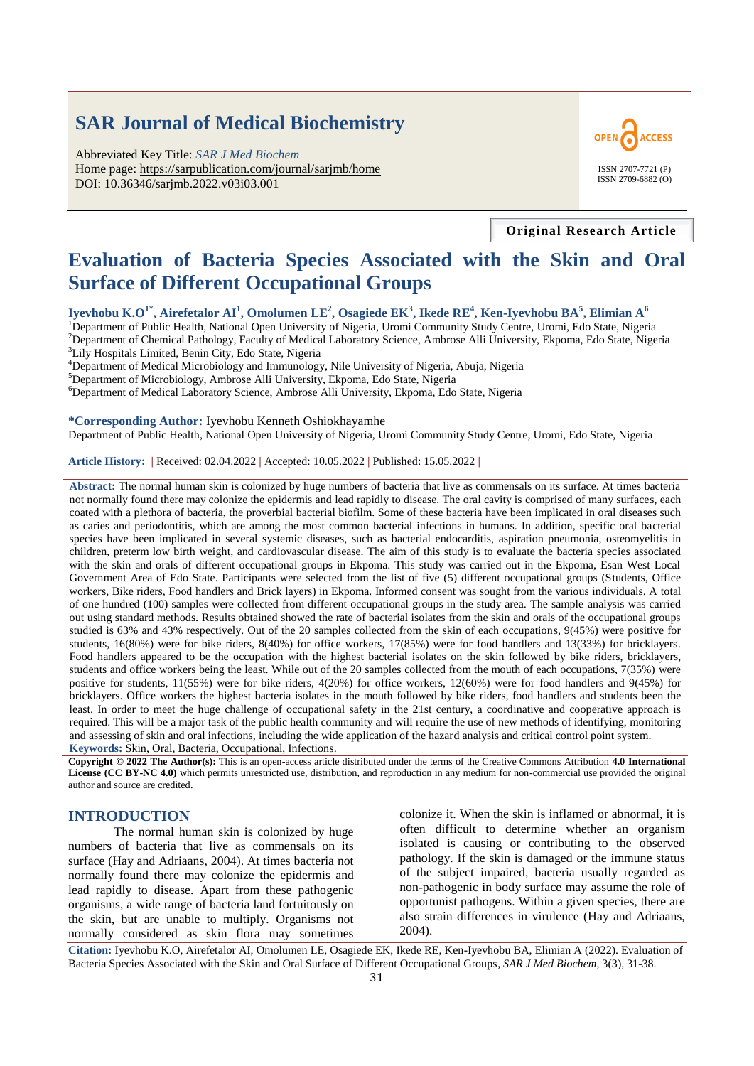# **SAR Journal of Medical Biochemistry**

Abbreviated Key Title: *SAR J Med Biochem* Home page: https://sarpublication.com/journal/sarjmb/home DOI: 10.36346/sarjmb.2022.v03i03.001



**Original Research Article**

# **Evaluation of Bacteria Species Associated with the Skin and Oral Surface of Different Occupational Groups**

**Iyevhobu K.O1\*, Airefetalor AI<sup>1</sup> , Omolumen LE<sup>2</sup> , Osagiede EK<sup>3</sup> , Ikede RE<sup>4</sup> , Ken-Iyevhobu BA<sup>5</sup> , Elimian A<sup>6</sup>**

<sup>1</sup>Department of Public Health, National Open University of Nigeria, Uromi Community Study Centre, Uromi, Edo State, Nigeria <sup>2</sup>Department of Chemical Pathology, Faculty of Medical Laboratory Science, Ambrose Alli University, Ekpoma, Edo State, Nigeria <sup>3</sup>Lily Hospitals Limited, Benin City, Edo State, Nigeria

<sup>4</sup>Department of Medical Microbiology and Immunology, Nile University of Nigeria, Abuja, Nigeria

<sup>5</sup>Department of Microbiology, Ambrose Alli University, Ekpoma, Edo State, Nigeria

<sup>6</sup>Department of Medical Laboratory Science, Ambrose Alli University, Ekpoma, Edo State, Nigeria

**\*Corresponding Author:** Iyevhobu Kenneth Oshiokhayamhe Department of Public Health, National Open University of Nigeria, Uromi Community Study Centre, Uromi, Edo State, Nigeria

**Article History: |** Received: 02.04.2022 **|** Accepted: 10.05.2022 **|** Published: 15.05.2022 **|**

**Abstract:** The normal human skin is colonized by huge numbers of bacteria that live as commensals on its surface. At times bacteria not normally found there may colonize the epidermis and lead rapidly to disease. The oral cavity is comprised of many surfaces, each coated with a plethora of bacteria, the proverbial bacterial biofilm. Some of these bacteria have been implicated in oral diseases such as caries and periodontitis, which are among the most common bacterial infections in humans. In addition, specific oral bacterial species have been implicated in several systemic diseases, such as bacterial endocarditis, aspiration pneumonia, osteomyelitis in children, preterm low birth weight, and cardiovascular disease. The aim of this study is to evaluate the bacteria species associated with the skin and orals of different occupational groups in Ekpoma. This study was carried out in the Ekpoma, Esan West Local Government Area of Edo State. Participants were selected from the list of five (5) different occupational groups (Students, Office workers, Bike riders, Food handlers and Brick layers) in Ekpoma. Informed consent was sought from the various individuals. A total of one hundred (100) samples were collected from different occupational groups in the study area. The sample analysis was carried out using standard methods. Results obtained showed the rate of bacterial isolates from the skin and orals of the occupational groups studied is 63% and 43% respectively. Out of the 20 samples collected from the skin of each occupations, 9(45%) were positive for students, 16(80%) were for bike riders, 8(40%) for office workers, 17(85%) were for food handlers and 13(33%) for bricklayers. Food handlers appeared to be the occupation with the highest bacterial isolates on the skin followed by bike riders, bricklayers, students and office workers being the least. While out of the 20 samples collected from the mouth of each occupations, 7(35%) were positive for students, 11(55%) were for bike riders, 4(20%) for office workers, 12(60%) were for food handlers and 9(45%) for bricklayers. Office workers the highest bacteria isolates in the mouth followed by bike riders, food handlers and students been the least. In order to meet the huge challenge of occupational safety in the 21st century, a coordinative and cooperative approach is required. This will be a major task of the public health community and will require the use of new methods of identifying, monitoring and assessing of skin and oral infections, including the wide application of the hazard analysis and critical control point system. **Keywords:** Skin, Oral, Bacteria, Occupational, Infections.

**Copyright © 2022 The Author(s):** This is an open-access article distributed under the terms of the Creative Commons Attribution **4.0 International License (CC BY-NC 4.0)** which permits unrestricted use, distribution, and reproduction in any medium for non-commercial use provided the original author and source are credited.

### **INTRODUCTION**

The normal human skin is colonized by huge numbers of bacteria that live as commensals on its surface (Hay and Adriaans, 2004). At times bacteria not normally found there may colonize the epidermis and lead rapidly to disease. Apart from these pathogenic organisms, a wide range of bacteria land fortuitously on the skin, but are unable to multiply. Organisms not normally considered as skin flora may sometimes

colonize it. When the skin is inflamed or abnormal, it is often difficult to determine whether an organism isolated is causing or contributing to the observed pathology. If the skin is damaged or the immune status of the subject impaired, bacteria usually regarded as non-pathogenic in body surface may assume the role of opportunist pathogens. Within a given species, there are also strain differences in virulence (Hay and Adriaans, 2004).

**Citation:** Iyevhobu K.O, Airefetalor AI, Omolumen LE, Osagiede EK, Ikede RE, Ken-Iyevhobu BA, Elimian A (2022). Evaluation of Bacteria Species Associated with the Skin and Oral Surface of Different Occupational Groups, *SAR J Med Biochem*, 3(3), 31-38.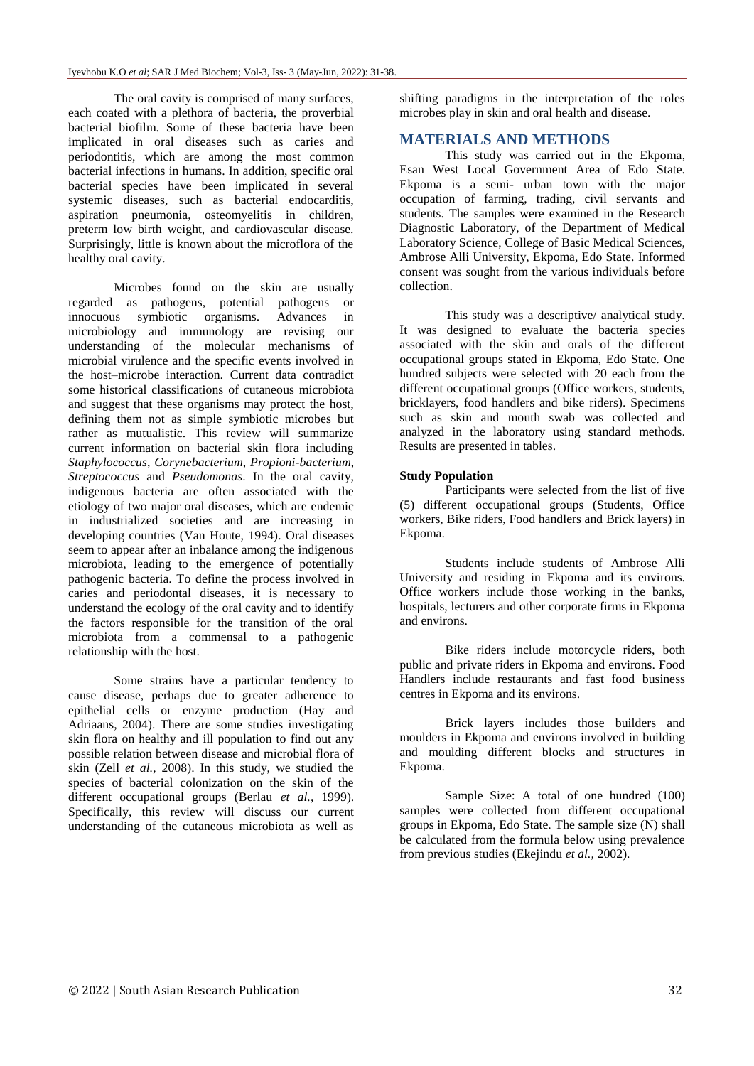The oral cavity is comprised of many surfaces, each coated with a plethora of bacteria, the proverbial bacterial biofilm. Some of these bacteria have been implicated in oral diseases such as caries and periodontitis, which are among the most common bacterial infections in humans. In addition, specific oral bacterial species have been implicated in several systemic diseases, such as bacterial endocarditis, aspiration pneumonia, osteomyelitis in children, preterm low birth weight, and cardiovascular disease. Surprisingly, little is known about the microflora of the healthy oral cavity.

Microbes found on the skin are usually regarded as pathogens, potential pathogens or innocuous symbiotic organisms. Advances in microbiology and immunology are revising our understanding of the molecular mechanisms of microbial virulence and the specific events involved in the host–microbe interaction. Current data contradict some historical classifications of cutaneous microbiota and suggest that these organisms may protect the host, defining them not as simple symbiotic microbes but rather as mutualistic. This review will summarize current information on bacterial skin flora including *Staphylococcus*, *Corynebacterium*, *Propioni-bacterium*, *Streptococcus* and *Pseudomonas*. In the oral cavity, indigenous bacteria are often associated with the etiology of two major oral diseases, which are endemic in industrialized societies and are increasing in developing countries (Van Houte, 1994). Oral diseases seem to appear after an inbalance among the indigenous microbiota, leading to the emergence of potentially pathogenic bacteria. To define the process involved in caries and periodontal diseases, it is necessary to understand the ecology of the oral cavity and to identify the factors responsible for the transition of the oral microbiota from a commensal to a pathogenic relationship with the host.

Some strains have a particular tendency to cause disease, perhaps due to greater adherence to epithelial cells or enzyme production (Hay and Adriaans, 2004). There are some studies investigating skin flora on healthy and ill population to find out any possible relation between disease and microbial flora of skin (Zell *et al.,* 2008). In this study, we studied the species of bacterial colonization on the skin of the different occupational groups (Berlau *et al.,* 1999). Specifically, this review will discuss our current understanding of the cutaneous microbiota as well as

shifting paradigms in the interpretation of the roles microbes play in skin and oral health and disease.

## **MATERIALS AND METHODS**

This study was carried out in the Ekpoma, Esan West Local Government Area of Edo State. Ekpoma is a semi- urban town with the major occupation of farming, trading, civil servants and students. The samples were examined in the Research Diagnostic Laboratory, of the Department of Medical Laboratory Science, College of Basic Medical Sciences, Ambrose Alli University, Ekpoma, Edo State. Informed consent was sought from the various individuals before collection.

This study was a descriptive/ analytical study. It was designed to evaluate the bacteria species associated with the skin and orals of the different occupational groups stated in Ekpoma, Edo State. One hundred subjects were selected with 20 each from the different occupational groups (Office workers, students, bricklayers, food handlers and bike riders). Specimens such as skin and mouth swab was collected and analyzed in the laboratory using standard methods. Results are presented in tables.

#### **Study Population**

Participants were selected from the list of five (5) different occupational groups (Students, Office workers, Bike riders, Food handlers and Brick layers) in Ekpoma.

Students include students of Ambrose Alli University and residing in Ekpoma and its environs. Office workers include those working in the banks, hospitals, lecturers and other corporate firms in Ekpoma and environs.

Bike riders include motorcycle riders, both public and private riders in Ekpoma and environs. Food Handlers include restaurants and fast food business centres in Ekpoma and its environs.

Brick layers includes those builders and moulders in Ekpoma and environs involved in building and moulding different blocks and structures in Ekpoma.

Sample Size: A total of one hundred (100) samples were collected from different occupational groups in Ekpoma, Edo State. The sample size (N) shall be calculated from the formula below using prevalence from previous studies (Ekejindu *et al.,* 2002).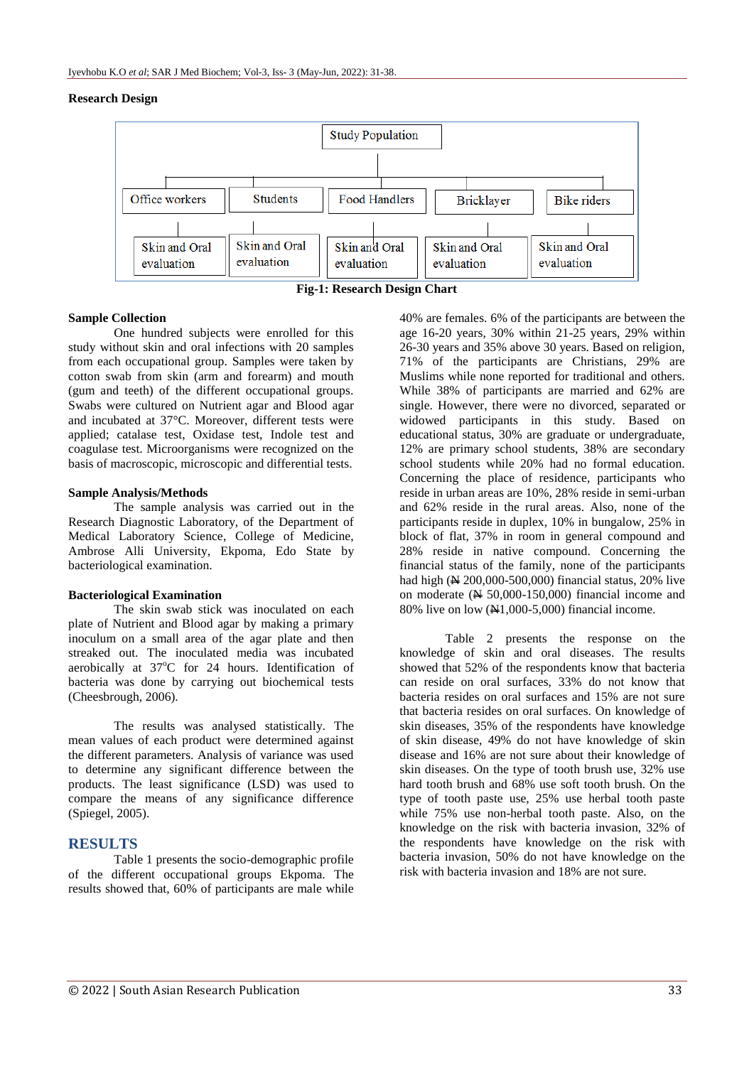#### **Research Design**



**Fig-1: Research Design Chart**

#### **Sample Collection**

One hundred subjects were enrolled for this study without skin and oral infections with 20 samples from each occupational group. Samples were taken by cotton swab from skin (arm and forearm) and mouth (gum and teeth) of the different occupational groups. Swabs were cultured on Nutrient agar and Blood agar and incubated at 37°C. Moreover, different tests were applied; catalase test, Oxidase test, Indole test and coagulase test. Microorganisms were recognized on the basis of macroscopic, microscopic and differential tests.

#### **Sample Analysis/Methods**

The sample analysis was carried out in the Research Diagnostic Laboratory, of the Department of Medical Laboratory Science, College of Medicine, Ambrose Alli University, Ekpoma, Edo State by bacteriological examination.

#### **Bacteriological Examination**

The skin swab stick was inoculated on each plate of Nutrient and Blood agar by making a primary inoculum on a small area of the agar plate and then streaked out. The inoculated media was incubated aerobically at  $37^{\circ}$ C for 24 hours. Identification of bacteria was done by carrying out biochemical tests (Cheesbrough, 2006).

The results was analysed statistically. The mean values of each product were determined against the different parameters. Analysis of variance was used to determine any significant difference between the products. The least significance (LSD) was used to compare the means of any significance difference (Spiegel, 2005).

#### **RESULTS**

Table 1 presents the socio-demographic profile of the different occupational groups Ekpoma. The results showed that, 60% of participants are male while

40% are females. 6% of the participants are between the age 16-20 years, 30% within 21-25 years, 29% within 26-30 years and 35% above 30 years. Based on religion, 71% of the participants are Christians, 29% are Muslims while none reported for traditional and others. While 38% of participants are married and 62% are single. However, there were no divorced, separated or widowed participants in this study. Based on educational status, 30% are graduate or undergraduate, 12% are primary school students, 38% are secondary school students while 20% had no formal education. Concerning the place of residence, participants who reside in urban areas are 10%, 28% reside in semi-urban and 62% reside in the rural areas. Also, none of the participants reside in duplex, 10% in bungalow, 25% in block of flat, 37% in room in general compound and 28% reside in native compound. Concerning the financial status of the family, none of the participants had high ( $\cancel{\text{N}}$  200,000-500,000) financial status, 20% live on moderate  $(4/50.000-150.000)$  financial income and 80% live on low  $(\text{N1},000-5,000)$  financial income.

Table 2 presents the response on the knowledge of skin and oral diseases. The results showed that 52% of the respondents know that bacteria can reside on oral surfaces, 33% do not know that bacteria resides on oral surfaces and 15% are not sure that bacteria resides on oral surfaces. On knowledge of skin diseases, 35% of the respondents have knowledge of skin disease, 49% do not have knowledge of skin disease and 16% are not sure about their knowledge of skin diseases. On the type of tooth brush use, 32% use hard tooth brush and 68% use soft tooth brush. On the type of tooth paste use, 25% use herbal tooth paste while 75% use non-herbal tooth paste. Also, on the knowledge on the risk with bacteria invasion, 32% of the respondents have knowledge on the risk with bacteria invasion, 50% do not have knowledge on the risk with bacteria invasion and 18% are not sure.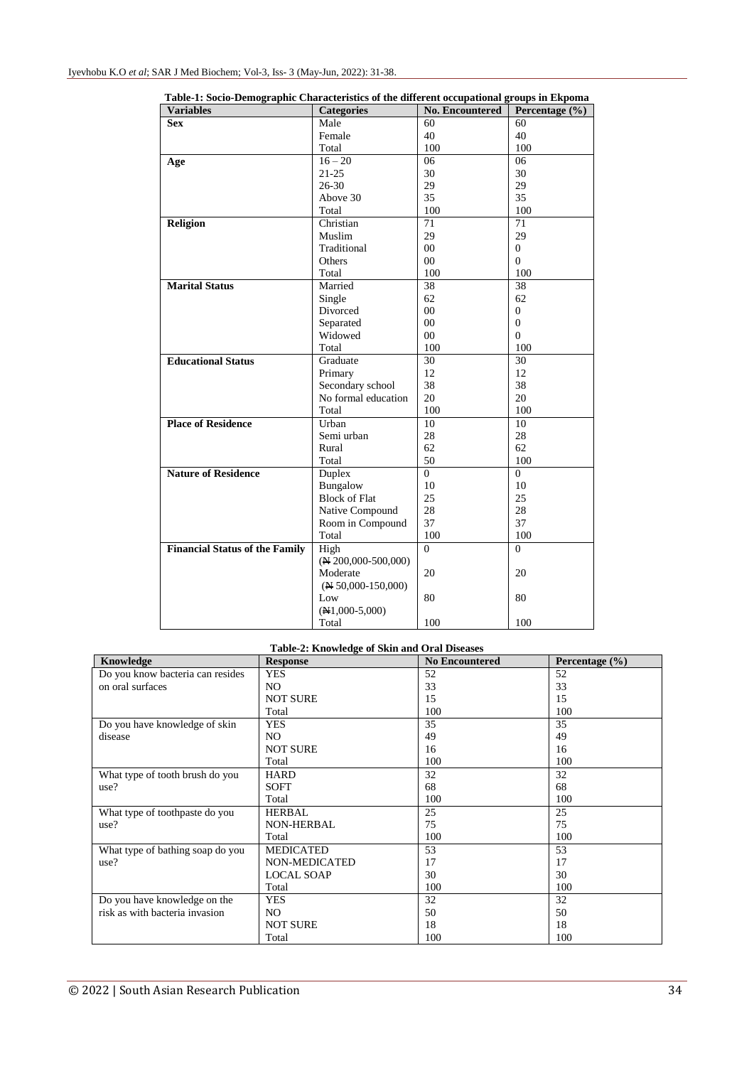| галс-т. босто-тенюдгарше снагаситизися от ине интегент осеаратонат дгоиря нг ткронна<br><b>Variables</b> | <b>Categories</b>              | <b>No. Encountered</b> | Percentage $(\% )$ |
|----------------------------------------------------------------------------------------------------------|--------------------------------|------------------------|--------------------|
| <b>Sex</b>                                                                                               | Male                           | 60                     | 60                 |
|                                                                                                          | Female                         | 40                     | 40                 |
|                                                                                                          | Total                          | 100                    | 100                |
|                                                                                                          | $16 - 20$                      | 06                     | 06                 |
| Age                                                                                                      | $21 - 25$                      | 30                     | 30                 |
|                                                                                                          | $26 - 30$                      | 29                     | 29                 |
|                                                                                                          | Above 30                       | 35                     | 35                 |
|                                                                                                          |                                | 100                    | 100                |
|                                                                                                          | Total                          |                        |                    |
| Religion                                                                                                 | Christian                      | 71                     | 71                 |
|                                                                                                          | Muslim                         | 29                     | 29                 |
|                                                                                                          | Traditional                    | $00\,$                 | $\overline{0}$     |
|                                                                                                          | Others                         | 00                     | $\Omega$           |
|                                                                                                          | Total                          | 100                    | 100                |
| <b>Marital Status</b>                                                                                    | Married                        | 38                     | 38                 |
|                                                                                                          | Single                         | 62                     | 62                 |
|                                                                                                          | Divorced                       | 00                     | $\mathbf{0}$       |
|                                                                                                          | Separated                      | 00                     | $\Omega$           |
|                                                                                                          | Widowed                        | 00                     | $\Omega$           |
|                                                                                                          | Total                          | 100                    | 100                |
| <b>Educational Status</b>                                                                                | Graduate                       | 30                     | 30                 |
|                                                                                                          | Primary                        | 12                     | 12                 |
|                                                                                                          | Secondary school               | 38                     | 38                 |
|                                                                                                          | No formal education            | 20                     | 20                 |
|                                                                                                          | Total                          | 100                    | 100                |
| <b>Place of Residence</b>                                                                                | Urban                          | 10                     | 10                 |
|                                                                                                          | Semi urban                     | 28                     | 28                 |
|                                                                                                          | Rural                          | 62                     | 62                 |
|                                                                                                          | Total                          | 50                     | 100                |
| <b>Nature of Residence</b>                                                                               | Duplex                         | $\theta$               | $\Omega$           |
|                                                                                                          | Bungalow                       | 10                     | 10                 |
|                                                                                                          | <b>Block of Flat</b>           | 25                     | 25                 |
|                                                                                                          | Native Compound                | 28                     | 28                 |
|                                                                                                          | Room in Compound               | 37                     | 37                 |
|                                                                                                          | Total                          | 100                    | 100                |
| <b>Financial Status of the Family</b>                                                                    | High                           | $\overline{0}$         | $\theta$           |
|                                                                                                          | $(\mathbb{N} 200,000-500,000)$ |                        |                    |
|                                                                                                          | Moderate                       | 20                     | 20                 |
|                                                                                                          | $(\mathbb{N} 50,000-150,000)$  |                        |                    |
|                                                                                                          | Low                            | 80                     | 80                 |
|                                                                                                          | $(H1,000-5,000)$               |                        |                    |
|                                                                                                          | Total                          | 100                    | 100                |

**Table-1: Socio-Demographic Characteristics of the different occupational groups in Ekpoma**

**Table-2: Knowledge of Skin and Oral Diseases**

| Knowledge                        | <b>Response</b>   | <b>No Encountered</b> | Percentage $(\% )$ |
|----------------------------------|-------------------|-----------------------|--------------------|
| Do you know bacteria can resides | <b>YES</b>        | 52                    | 52                 |
| on oral surfaces                 | NO.               | 33                    | 33                 |
|                                  | <b>NOT SURE</b>   | 15                    | 15                 |
|                                  | Total             | 100                   | 100                |
| Do you have knowledge of skin    | <b>YES</b>        | 35                    | 35                 |
| disease                          | NO.               | 49                    | 49                 |
|                                  | <b>NOT SURE</b>   | 16                    | 16                 |
|                                  | Total             | 100                   | 100                |
| What type of tooth brush do you  | <b>HARD</b>       | 32                    | 32                 |
| use?                             | <b>SOFT</b>       | 68                    | 68                 |
|                                  | Total             | 100                   | 100                |
| What type of toothpaste do you   | <b>HERBAL</b>     | 25                    | 25                 |
| use?                             | <b>NON-HERBAL</b> | 75                    | 75                 |
|                                  | Total             | 100                   | 100                |
| What type of bathing soap do you | <b>MEDICATED</b>  | 53                    | 53                 |
| use?                             | NON-MEDICATED     | 17                    | 17                 |
|                                  | <b>LOCAL SOAP</b> | 30                    | 30                 |
|                                  | Total             | 100                   | 100                |
| Do you have knowledge on the     | <b>YES</b>        | 32                    | 32                 |
| risk as with bacteria invasion   | NO.               | 50                    | 50                 |
|                                  | <b>NOT SURE</b>   | 18                    | 18                 |
|                                  | Total             | 100                   | 100                |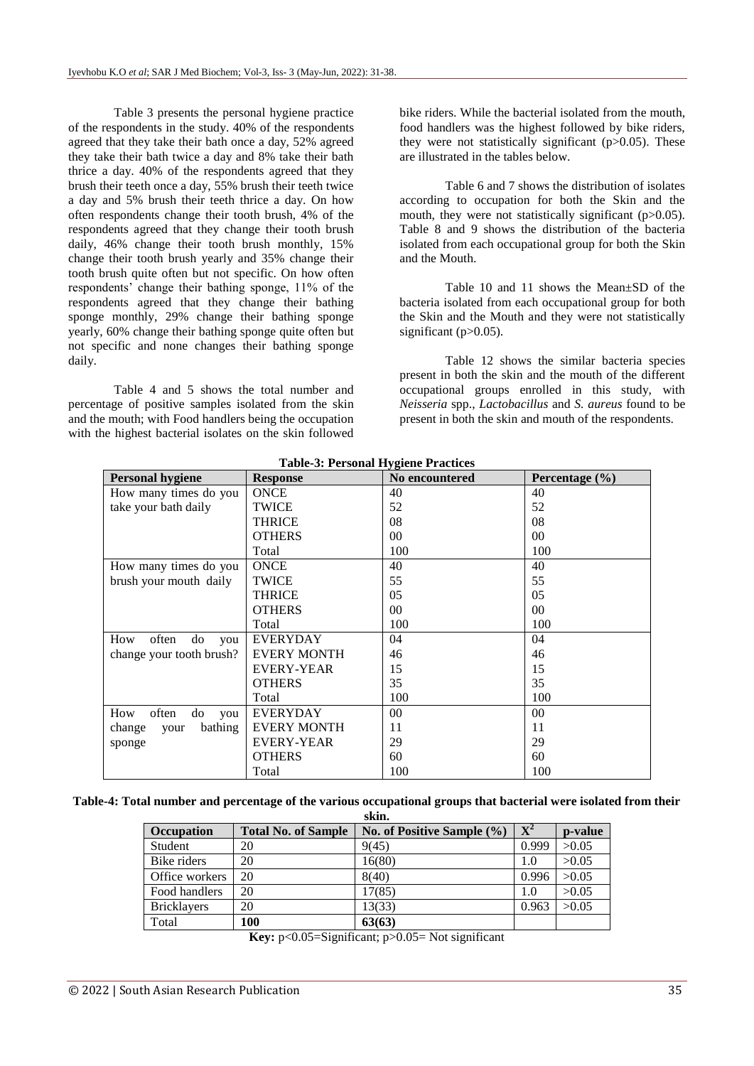Table 3 presents the personal hygiene practice of the respondents in the study. 40% of the respondents agreed that they take their bath once a day, 52% agreed they take their bath twice a day and 8% take their bath thrice a day. 40% of the respondents agreed that they brush their teeth once a day, 55% brush their teeth twice a day and 5% brush their teeth thrice a day. On how often respondents change their tooth brush, 4% of the respondents agreed that they change their tooth brush daily, 46% change their tooth brush monthly, 15% change their tooth brush yearly and 35% change their tooth brush quite often but not specific. On how often respondents' change their bathing sponge, 11% of the respondents agreed that they change their bathing sponge monthly, 29% change their bathing sponge yearly, 60% change their bathing sponge quite often but not specific and none changes their bathing sponge daily.

Table 4 and 5 shows the total number and percentage of positive samples isolated from the skin and the mouth; with Food handlers being the occupation with the highest bacterial isolates on the skin followed bike riders. While the bacterial isolated from the mouth, food handlers was the highest followed by bike riders, they were not statistically significant (p>0.05). These are illustrated in the tables below.

Table 6 and 7 shows the distribution of isolates according to occupation for both the Skin and the mouth, they were not statistically significant (p>0.05). Table 8 and 9 shows the distribution of the bacteria isolated from each occupational group for both the Skin and the Mouth.

Table 10 and 11 shows the Mean±SD of the bacteria isolated from each occupational group for both the Skin and the Mouth and they were not statistically significant (p>0.05).

Table 12 shows the similar bacteria species present in both the skin and the mouth of the different occupational groups enrolled in this study, with *Neisseria* spp., *Lactobacillus* and *S. aureus* found to be present in both the skin and mouth of the respondents.

| <b>Personal hygiene</b>   | <b>Response</b>    | <b>No encountered</b> | Percentage $(\% )$ |
|---------------------------|--------------------|-----------------------|--------------------|
| How many times do you     | <b>ONCE</b>        | 40                    | 40                 |
| take your bath daily      | <b>TWICE</b>       | 52                    | 52                 |
|                           | THRICE             | 08                    | 08                 |
|                           | <b>OTHERS</b>      | $00\,$                | $00\,$             |
|                           | Total              | 100                   | 100                |
| How many times do you     | <b>ONCE</b>        | 40                    | 40                 |
| brush your mouth daily    | <b>TWICE</b>       | 55                    | 55                 |
|                           | <b>THRICE</b>      | 05                    | 05                 |
|                           | <b>OTHERS</b>      | $00\,$                | $00\,$             |
|                           | Total              | 100                   | 100                |
| often<br>How<br>do<br>you | <b>EVERYDAY</b>    | 04                    | 04                 |
| change your tooth brush?  | <b>EVERY MONTH</b> | 46                    | 46                 |
|                           | <b>EVERY-YEAR</b>  | 15                    | 15                 |
|                           | <b>OTHERS</b>      | 35                    | 35                 |
|                           | Total              | 100                   | 100                |
| How<br>often<br>do<br>you | <b>EVERYDAY</b>    | $00\,$                | 00                 |
| bathing<br>change<br>your | <b>EVERY MONTH</b> | 11                    | 11                 |
| sponge                    | <b>EVERY-YEAR</b>  | 29                    | 29                 |
|                           | <b>OTHERS</b>      | 60                    | 60                 |
|                           | Total              | 100                   | 100                |

**Table-3: Personal Hygiene Practices**

**Table-4: Total number and percentage of the various occupational groups that bacterial were isolated from their skin.**

| Occupation         | <b>Total No. of Sample</b> | No. of Positive Sample $(\% )$ | ${\bf X}^2$ | p-value |
|--------------------|----------------------------|--------------------------------|-------------|---------|
| Student            | 20                         | 9(45)                          | 0.999       | >0.05   |
| Bike riders        | 20                         | 16(80)                         | 1.0         | >0.05   |
| Office workers     | 20                         | 8(40)                          | 0.996       | >0.05   |
| Food handlers      | 20                         | 17(85)                         | 1.0         | >0.05   |
| <b>Bricklayers</b> | 20                         | 13(33)                         | 0.963       | >0.05   |
| Total              | 100                        | 63(63)                         |             |         |

**Key:** p<0.05=Significant; p>0.05= Not significant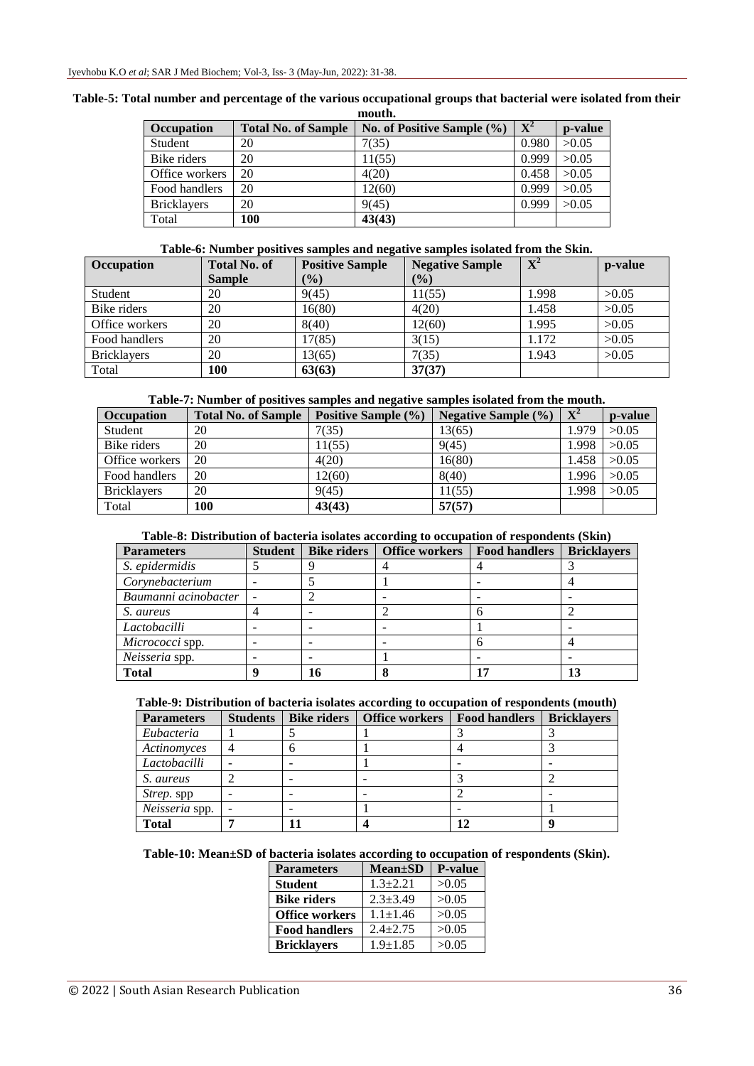|                    |                            | moutn.                         |                |         |
|--------------------|----------------------------|--------------------------------|----------------|---------|
| <b>Occupation</b>  | <b>Total No. of Sample</b> | No. of Positive Sample $(\% )$ | $\mathbf{X}^2$ | p-value |
| <b>Student</b>     | 20                         | 7(35)                          | 0.980          | >0.05   |
| Bike riders        | 20                         | 11(55)                         | 0.999          | >0.05   |
| Office workers     | 20                         | 4(20)                          | 0.458          | >0.05   |
| Food handlers      | 20                         | 12(60)                         | 0.999          | >0.05   |
| <b>Bricklayers</b> | 20                         | 9(45)                          | 0.999          | >0.05   |
| Total              | 100                        | 43(43)                         |                |         |

#### **Table-5: Total number and percentage of the various occupational groups that bacterial were isolated from their mouth.**

### **Table-6: Number positives samples and negative samples isolated from the Skin.**

| <b>Occupation</b>  | <b>Total No. of</b> | <b>Positive Sample</b> | <b>Negative Sample</b> | $\mathbf{X}^2$ | p-value |
|--------------------|---------------------|------------------------|------------------------|----------------|---------|
|                    | <b>Sample</b>       | (%)                    | (%)                    |                |         |
| <b>Student</b>     | 20                  | 9(45)                  | 11(55)                 | 1.998          | >0.05   |
| Bike riders        | 20                  | 16(80)                 | 4(20)                  | 1.458          | >0.05   |
| Office workers     | 20                  | 8(40)                  | 12(60)                 | 1.995          | >0.05   |
| Food handlers      | 20                  | 17(85)                 | 3(15)                  | 1.172          | >0.05   |
| <b>Bricklayers</b> | 20                  | 13(65)                 | 7(35)                  | 1.943          | >0.05   |
| Total              | 100                 | 63(63)                 | 37(37)                 |                |         |

#### **Table-7: Number of positives samples and negative samples isolated from the mouth.**

| <b>Occupation</b>  | <b>Total No. of Sample</b> | Positive Sample (%) | Negative Sample $(\% )$ | ${\bf X}^2$ | p-value |
|--------------------|----------------------------|---------------------|-------------------------|-------------|---------|
| Student            | 20                         | 7(35)               | 13(65)                  | 1.979       | >0.05   |
| Bike riders        | 20                         | 11(55)              | 9(45)                   | 1.998       | >0.05   |
| Office workers     | 20                         | 4(20)               | 16(80)                  | 1.458       | >0.05   |
| Food handlers      | 20                         | 12(60)              | 8(40)                   | 1.996       | >0.05   |
| <b>Bricklayers</b> | 20                         | 9(45)               | 11(55)                  | 1.998       | >0.05   |
| Total              | <b>100</b>                 | 43(43)              | 57(57)                  |             |         |

#### **Table-8: Distribution of bacteria isolates according to occupation of respondents (Skin)**

| <b>Parameters</b>    | <b>Student</b> | <b>Bike riders</b> | <b>Office workers</b> | <b>Food handlers</b> | <b>Bricklayers</b> |
|----------------------|----------------|--------------------|-----------------------|----------------------|--------------------|
| S. epidermidis       |                |                    |                       |                      |                    |
| Corynebacterium      |                |                    |                       |                      |                    |
| Baumanni acinobacter |                |                    |                       |                      |                    |
| S. aureus            |                |                    |                       |                      |                    |
| Lactobacilli         |                |                    |                       |                      |                    |
| Micrococci spp.      |                |                    |                       |                      |                    |
| Neisseria spp.       |                |                    |                       |                      |                    |
| <b>Total</b>         |                | 16                 |                       | 17                   |                    |

#### **Table-9: Distribution of bacteria isolates according to occupation of respondents (mouth)**

| <b>Parameters</b> | <b>Students</b> | <b>Bike riders</b> | <b>Office workers</b> | <b>Food handlers</b> | <b>Bricklayers</b> |
|-------------------|-----------------|--------------------|-----------------------|----------------------|--------------------|
| Eubacteria        |                 |                    |                       |                      |                    |
| Actinomyces       | 4               |                    |                       |                      |                    |
| Lactobacilli      |                 |                    |                       |                      |                    |
| S. aureus         |                 |                    |                       |                      |                    |
| <i>Strep.</i> spp |                 |                    |                       |                      |                    |
| Neisseria spp.    |                 |                    |                       |                      |                    |
| <b>Total</b>      |                 |                    |                       | 12                   |                    |

# **Table-10: Mean±SD of bacteria isolates according to occupation of respondents (Skin).**

| <b>Parameters</b>     | <b>Mean±SD</b> | <b>P-value</b> |
|-----------------------|----------------|----------------|
| <b>Student</b>        | $1.3 + 2.21$   | >0.05          |
| <b>Bike riders</b>    | $2.3 + 3.49$   | >0.05          |
| <b>Office workers</b> | $1.1 \pm 1.46$ | >0.05          |
| <b>Food handlers</b>  | $2.4 + 2.75$   | >0.05          |
| <b>Bricklayers</b>    | $1.9 + 1.85$   | >0.05          |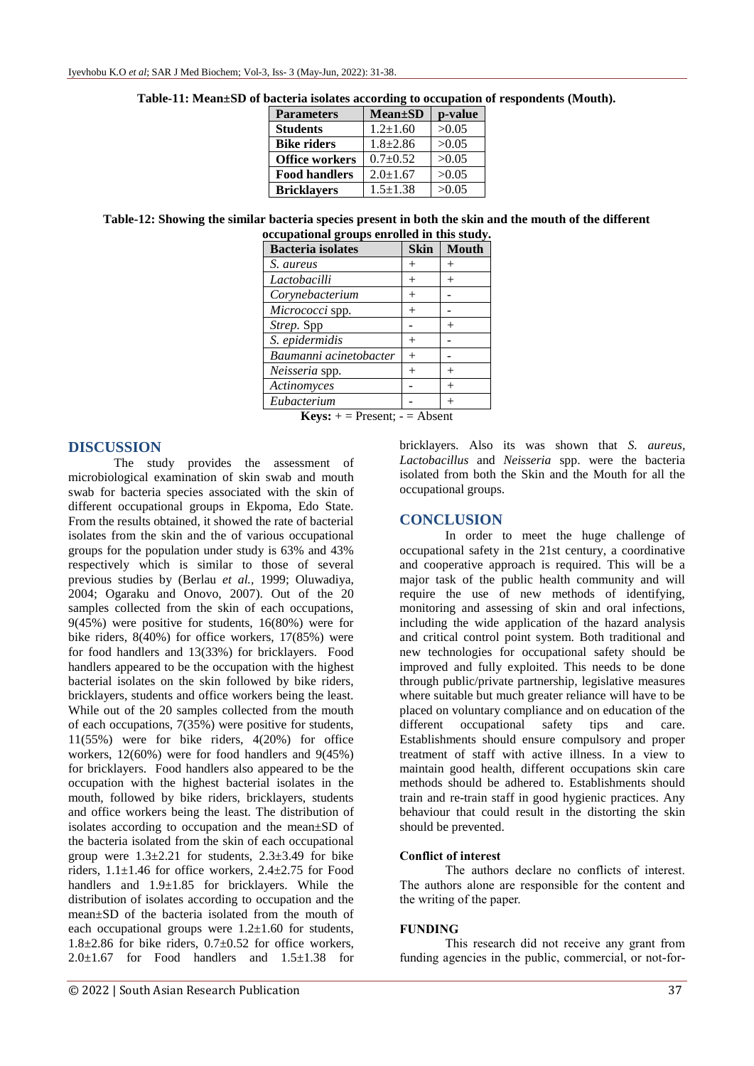| <b>Parameters</b>     | <b>Mean</b> ±SD | p-value |
|-----------------------|-----------------|---------|
| <b>Students</b>       | $1.2 \pm 1.60$  | >0.05   |
| <b>Bike riders</b>    | $1.8 \pm 2.86$  | >0.05   |
| <b>Office workers</b> | $0.7+0.52$      | >0.05   |
| <b>Food handlers</b>  | $2.0 \pm 1.67$  | >0.05   |
| <b>Bricklayers</b>    | $1.5 \pm 1.38$  | >0.05   |

**Table-11: Mean±SD of bacteria isolates according to occupation of respondents (Mouth).**

**Table-12: Showing the similar bacteria species present in both the skin and the mouth of the different occupational groups enrolled in this study.**

| <b>Bacteria</b> isolates | <b>Skin</b> | <b>Mouth</b> |
|--------------------------|-------------|--------------|
| S. aureus                | $^{+}$      | $^{+}$       |
| Lactobacilli             | $^{+}$      | $^+$         |
| Corynebacterium          | $^{+}$      |              |
| Micrococci spp.          | $^{+}$      |              |
| Strep. Spp               |             | $+$          |
| S. epidermidis           | $^{+}$      |              |
| Baumanni acinetobacter   | $^{+}$      |              |
| Neisseria spp.           | $^{+}$      |              |
| Actinomyces              |             | $^{+}$       |
| Eubacterium              |             |              |
|                          |             |              |

**Keys:**  $+$  = Present;  $-$  = Absent

#### **DISCUSSION**

The study provides the assessment of microbiological examination of skin swab and mouth swab for bacteria species associated with the skin of different occupational groups in Ekpoma, Edo State. From the results obtained, it showed the rate of bacterial isolates from the skin and the of various occupational groups for the population under study is 63% and 43% respectively which is similar to those of several previous studies by (Berlau *et al.,* 1999; Oluwadiya, 2004; Ogaraku and Onovo, 2007). Out of the 20 samples collected from the skin of each occupations, 9(45%) were positive for students, 16(80%) were for bike riders, 8(40%) for office workers, 17(85%) were for food handlers and 13(33%) for bricklayers. Food handlers appeared to be the occupation with the highest bacterial isolates on the skin followed by bike riders, bricklayers, students and office workers being the least. While out of the 20 samples collected from the mouth of each occupations, 7(35%) were positive for students, 11(55%) were for bike riders, 4(20%) for office workers, 12(60%) were for food handlers and 9(45%) for bricklayers. Food handlers also appeared to be the occupation with the highest bacterial isolates in the mouth, followed by bike riders, bricklayers, students and office workers being the least. The distribution of isolates according to occupation and the mean±SD of the bacteria isolated from the skin of each occupational group were  $1.3\pm 2.21$  for students,  $2.3\pm 3.49$  for bike riders,  $1.1 \pm 1.46$  for office workers,  $2.4 \pm 2.75$  for Food handlers and  $1.9\pm1.85$  for bricklayers. While the distribution of isolates according to occupation and the mean±SD of the bacteria isolated from the mouth of each occupational groups were  $1.2\pm1.60$  for students,  $1.8\pm2.86$  for bike riders,  $0.7\pm0.52$  for office workers,  $2.0 \pm 1.67$  for Food handlers and  $1.5 \pm 1.38$  for

bricklayers. Also its was shown that *S. aureus, Lactobacillus* and *Neisseria* spp. were the bacteria isolated from both the Skin and the Mouth for all the occupational groups.

#### **CONCLUSION**

In order to meet the huge challenge of occupational safety in the 21st century, a coordinative and cooperative approach is required. This will be a major task of the public health community and will require the use of new methods of identifying, monitoring and assessing of skin and oral infections, including the wide application of the hazard analysis and critical control point system. Both traditional and new technologies for occupational safety should be improved and fully exploited. This needs to be done through public/private partnership, legislative measures where suitable but much greater reliance will have to be placed on voluntary compliance and on education of the different occupational safety tips and care. Establishments should ensure compulsory and proper treatment of staff with active illness. In a view to maintain good health, different occupations skin care methods should be adhered to. Establishments should train and re-train staff in good hygienic practices. Any behaviour that could result in the distorting the skin should be prevented.

#### **Conflict of interest**

The authors declare no conflicts of interest. The authors alone are responsible for the content and the writing of the paper.

#### **FUNDING**

This research did not receive any grant from funding agencies in the public, commercial, or not-for